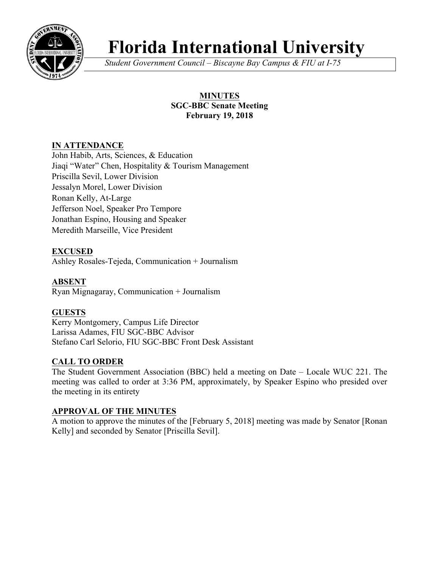

# **Florida International University**

*Student Government Council – Biscayne Bay Campus & FIU at I-75*

# **MINUTES SGC-BBC Senate Meeting February 19, 2018**

# **IN ATTENDANCE**

John Habib, Arts, Sciences, & Education Jiaqi "Water" Chen, Hospitality & Tourism Management Priscilla Sevil, Lower Division Jessalyn Morel, Lower Division Ronan Kelly, At-Large Jefferson Noel, Speaker Pro Tempore Jonathan Espino, Housing and Speaker Meredith Marseille, Vice President

# **EXCUSED**

Ashley Rosales-Tejeda, Communication + Journalism

# **ABSENT**

Ryan Mignagaray, Communication + Journalism

# **GUESTS**

Kerry Montgomery, Campus Life Director Larissa Adames, FIU SGC-BBC Advisor Stefano Carl Selorio, FIU SGC-BBC Front Desk Assistant

## **CALL TO ORDER**

The Student Government Association (BBC) held a meeting on Date – Locale WUC 221. The meeting was called to order at 3:36 PM, approximately, by Speaker Espino who presided over the meeting in its entirety

## **APPROVAL OF THE MINUTES**

A motion to approve the minutes of the [February 5, 2018] meeting was made by Senator [Ronan Kelly] and seconded by Senator [Priscilla Sevil].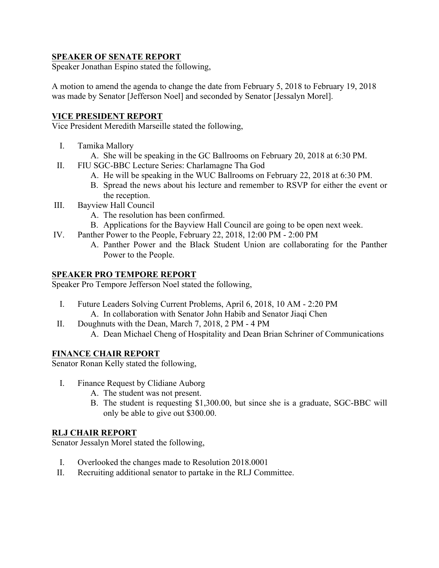## **SPEAKER OF SENATE REPORT**

Speaker Jonathan Espino stated the following,

A motion to amend the agenda to change the date from February 5, 2018 to February 19, 2018 was made by Senator [Jefferson Noel] and seconded by Senator [Jessalyn Morel].

### **VICE PRESIDENT REPORT**

Vice President Meredith Marseille stated the following,

- I. Tamika Mallory
	- A. She will be speaking in the GC Ballrooms on February 20, 2018 at 6:30 PM.
- II. FIU SGC-BBC Lecture Series: Charlamagne Tha God
	- A. He will be speaking in the WUC Ballrooms on February 22, 2018 at 6:30 PM.
	- B. Spread the news about his lecture and remember to RSVP for either the event or the reception.
- III. Bayview Hall Council
	- A. The resolution has been confirmed.
	- B. Applications for the Bayview Hall Council are going to be open next week.
- IV. Panther Power to the People, February 22, 2018, 12:00 PM 2:00 PM
	- A. Panther Power and the Black Student Union are collaborating for the Panther Power to the People.

#### **SPEAKER PRO TEMPORE REPORT**

Speaker Pro Tempore Jefferson Noel stated the following,

- I. Future Leaders Solving Current Problems, April 6, 2018, 10 AM 2:20 PM A. In collaboration with Senator John Habib and Senator Jiaqi Chen
- II. Doughnuts with the Dean, March 7, 2018, 2 PM 4 PM
	- A. Dean Michael Cheng of Hospitality and Dean Brian Schriner of Communications

#### **FINANCE CHAIR REPORT**

Senator Ronan Kelly stated the following,

- I. Finance Request by Clidiane Auborg
	- A. The student was not present.
	- B. The student is requesting \$1,300.00, but since she is a graduate, SGC-BBC will only be able to give out \$300.00.

#### **RLJ CHAIR REPORT**

Senator Jessalyn Morel stated the following,

- I. Overlooked the changes made to Resolution 2018.0001
- II. Recruiting additional senator to partake in the RLJ Committee.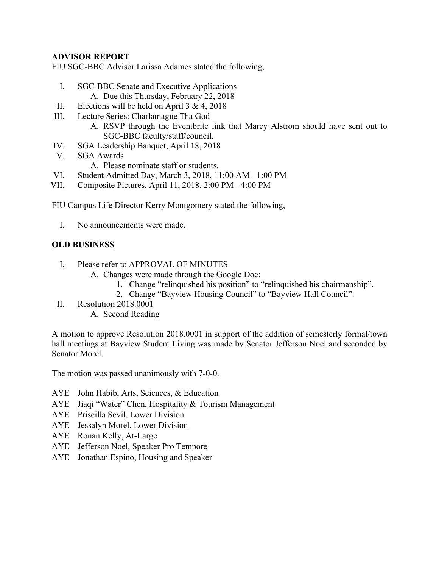## **ADVISOR REPORT**

FIU SGC-BBC Advisor Larissa Adames stated the following,

- I. SGC-BBC Senate and Executive Applications A. Due this Thursday, February 22, 2018
- II. Elections will be held on April  $3 \& 4, 2018$
- III. Lecture Series: Charlamagne Tha God
	- A. RSVP through the Eventbrite link that Marcy Alstrom should have sent out to SGC-BBC faculty/staff/council.
- IV. SGA Leadership Banquet, April 18, 2018
- V. SGA Awards
	- A. Please nominate staff or students.
- VI. Student Admitted Day, March 3, 2018, 11:00 AM 1:00 PM
- VII. Composite Pictures, April 11, 2018, 2:00 PM 4:00 PM

FIU Campus Life Director Kerry Montgomery stated the following,

I. No announcements were made.

## **OLD BUSINESS**

- I. Please refer to APPROVAL OF MINUTES
	- A. Changes were made through the Google Doc:
		- 1. Change "relinquished his position" to "relinquished his chairmanship".
		- 2. Change "Bayview Housing Council" to "Bayview Hall Council".
- II. Resolution 2018.0001
	- A. Second Reading

A motion to approve Resolution 2018.0001 in support of the addition of semesterly formal/town hall meetings at Bayview Student Living was made by Senator Jefferson Noel and seconded by Senator Morel.

The motion was passed unanimously with 7-0-0.

- AYE John Habib, Arts, Sciences, & Education
- AYE Jiaqi "Water" Chen, Hospitality & Tourism Management
- AYE Priscilla Sevil, Lower Division
- AYE Jessalyn Morel, Lower Division
- AYE Ronan Kelly, At-Large
- AYE Jefferson Noel, Speaker Pro Tempore
- AYE Jonathan Espino, Housing and Speaker